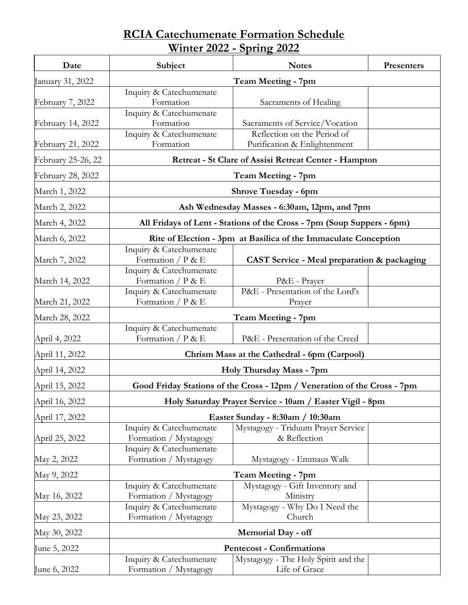## **RCIA Catechumenate Formation Schedule Winter 2022 - Spring 2022**

| Date               | Subject                                                                  | <b>Notes</b>                                                | Presenters |  |
|--------------------|--------------------------------------------------------------------------|-------------------------------------------------------------|------------|--|
| January 31, 2022   | Team Meeting - 7pm                                                       |                                                             |            |  |
| February 7, 2022   | Inquiry & Catechumenate<br>Formation                                     | Sacraments of Healing                                       |            |  |
| February 14, 2022  | Inquiry & Catechumenate<br>Formation                                     | Sacraments of Service/Vocation                              |            |  |
| February 21, 2022  | Inquiry & Catechumenate<br>Formation                                     | Reflection on the Period of<br>Purification & Enlightenment |            |  |
| February 25-26, 22 | Retreat - St Clare of Assisi Retreat Center - Hampton                    |                                                             |            |  |
| February 28, 2022  | Team Meeting - 7pm                                                       |                                                             |            |  |
| March 1, 2022      | <b>Shrove Tuesday - 6pm</b>                                              |                                                             |            |  |
| March 2, 2022      | Ash Wednesday Masses - 6:30am, 12pm, and 7pm                             |                                                             |            |  |
| March 4, 2022      | All Fridays of Lent - Stations of the Cross - 7pm (Soup Suppers - 6pm)   |                                                             |            |  |
| March 6, 2022      | Rite of Election - 3pm at Basilica of the Immaculate Conception          |                                                             |            |  |
| March 7, 2022      | Inquiry & Catechumenate<br>Formation / $P & E$                           | <b>CAST Service - Meal preparation &amp; packaging</b>      |            |  |
| March 14, 2022     | Inquiry & Catechumenate<br>Formation / $P \& E$                          | P&E - Prayer                                                |            |  |
| March 21, 2022     | Inquiry & Catechumenate<br>Formation $/P \& E$                           | P&E - Presentation of the Lord's<br>Prayer                  |            |  |
| March 28, 2022     | <b>Team Meeting - 7pm</b>                                                |                                                             |            |  |
| April 4, 2022      | Inquiry & Catechumenate<br>Formation $/P \& E$                           | P&E - Presentation of the Creed                             |            |  |
| April 11, 2022     | Chrism Mass at the Cathedral - 6pm (Carpool)                             |                                                             |            |  |
| April 14, 2022     | Holy Thursday Mass - 7pm                                                 |                                                             |            |  |
| April 15, 2022     | Good Friday Stations of the Cross - 12pm / Veneration of the Cross - 7pm |                                                             |            |  |
| April 16, 2022     | Holy Saturday Prayer Service - 10am / Easter Vigil - 8pm                 |                                                             |            |  |
| April 17, 2022     | Easter Sunday - 8:30am / 10:30am                                         |                                                             |            |  |
| April 25, 2022     | Inquiry & Catechumenate<br>Formation / Mystagogy                         | Mystagogy - Triduum Prayer Service<br>& Reflection          |            |  |
| May 2, 2022        | Inquiry & Catechumenate<br>Formation / Mystagogy                         | Mystagogy - Emmaus Walk                                     |            |  |
| May 9, 2022        | Team Meeting - 7pm                                                       |                                                             |            |  |
| May 16, 2022       | Inquiry & Catechumenate<br>Formation / Mystagogy                         | Mystagogy - Gift Inventory and<br>Ministry                  |            |  |
| May 23, 2022       | Inquiry & Catechumenate<br>Formation / Mystagogy                         | Mystagogy - Why Do I Need the<br>Church                     |            |  |
| May 30, 2022       | <b>Memorial Day - off</b>                                                |                                                             |            |  |
| June 5, 2022       | <b>Pentecost - Confirmations</b>                                         |                                                             |            |  |
| June 6, 2022       | Inquiry & Catechumenate<br>Formation / Mystagogy                         | Mystagogy - The Holy Spirit and the<br>Life of Grace        |            |  |